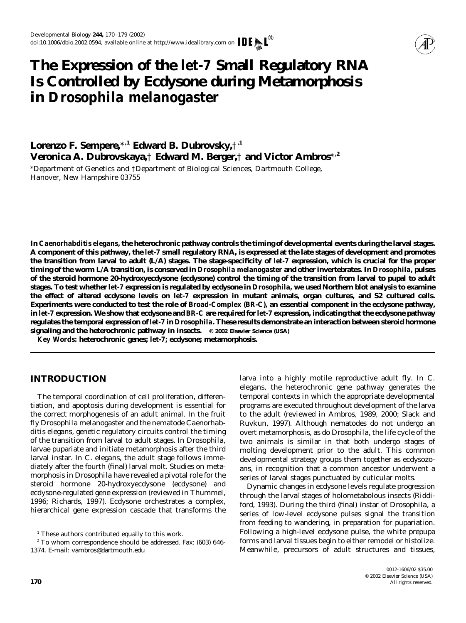

# **The Expression of the** *let-7* **Small Regulatory RNA Is Controlled by Ecdysone during Metamorphosis in** *Drosophila melanogaster*

**Lorenzo F. Sempere,**\***,1 Edward B. Dubrovsky,**†**,1 Veronica A. Dubrovskaya,**† **Edward M. Berger,**† **and Victor Ambros**\***,2**

\**Department of Genetics and* †*Department of Biological Sciences, Dartmouth College, Hanover, New Hampshire 03755*

**In** *Caenorhabditis elegans,* **the heterochronic pathway controls the timing of developmental events during the larval stages. A component of this pathway, the** *let-7* **small regulatory RNA, is expressed at the late stages of development and promotes the transition from larval to adult (L/A) stages. The stage-specificity of** *let-7* **expression, which is crucial for the proper timing of the worm L/A transition, is conserved in** *Drosophila melanogaster* **and other invertebrates. In** *Drosophila,* **pulses of the steroid hormone 20-hydroxyecdysone (ecdysone) control the timing of the transition from larval to pupal to adult stages. To test whether** *let-7* **expression is regulated by ecdysone in** *Drosophila,* **we used Northern blot analysis to examine the effect of altered ecdysone levels on** *let-7* **expression in mutant animals, organ cultures, and S2 cultured cells. Experiments were conducted to test the role of** *Broad-Complex (BR-C),* **an essential component in the ecdysone pathway, in** *let-7* **expression. We show that ecdysone and** *BR-C* **are required for** *let-7* **expression, indicating that the ecdysone pathway regulates the temporal expression of** *let-7* **in** *Drosophila***. These results demonstrate an interaction between steroid hormone signaling and the heterochronic pathway in insects. © 2002 Elsevier Science (USA)**

*Key Words:* **heterochronic genes;** *let-7***; ecdysone; metamorphosis.**

# **INTRODUCTION**

The temporal coordination of cell proliferation, differentiation, and apoptosis during development is essential for the correct morphogenesis of an adult animal. In the fruit fly *Drosophila melanogaster* and the nematode *Caenorhabditis elegans,* genetic regulatory circuits control the timing of the transition from larval to adult stages. In *Drosophila,* larvae pupariate and initiate metamorphosis after the third larval instar. In *C. elegans,* the adult stage follows immediately after the fourth (final) larval molt. Studies on metamorphosis in *Drosophila* have revealed a pivotal role for the steroid hormone 20-hydroxyecdysone (ecdysone) and ecdysone-regulated gene expression (reviewed in Thummel, 1996; Richards, 1997). Ecdysone orchestrates a complex, hierarchical gene expression cascade that transforms the larva into a highly motile reproductive adult fly. In *C. elegans,* the heterochronic gene pathway generates the temporal contexts in which the appropriate developmental programs are executed throughout development of the larva to the adult (reviewed in Ambros, 1989, 2000; Slack and Ruvkun, 1997). Although nematodes do not undergo an overt metamorphosis, as do *Drosophila,* the life cycle of the two animals is similar in that both undergo stages of molting development prior to the adult. This common developmental strategy groups them together as ecdysozoans, in recognition that a common ancestor underwent a series of larval stages punctuated by cuticular molts.

Dynamic changes in ecdysone levels regulate progression through the larval stages of holometabolous insects (Riddiford, 1993). During the third (final) instar of *Drosophila,* a series of low-level ecdysone pulses signal the transition from feeding to wandering, in preparation for pupariation. Following a high-level ecdysone pulse, the white prepupa forms and larval tissues begin to either remodel or histolize. Meanwhile, precursors of adult structures and tissues,

 $1$ <sup>1</sup> These authors contributed equally to this work.

<sup>2</sup> To whom correspondence should be addressed. Fax: (603) 646- 1374. E-mail: vambros@dartmouth.edu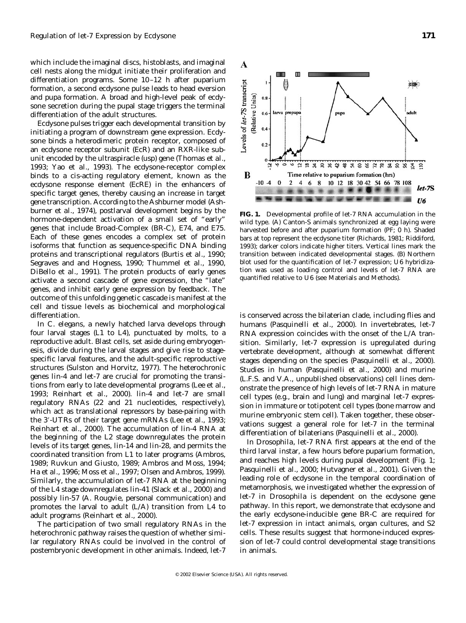which include the imaginal discs, histoblasts, and imaginal cell nests along the midgut initiate their proliferation and differentiation programs. Some 10–12 h after puparium formation, a second ecdysone pulse leads to head eversion and pupa formation. A broad and high-level peak of ecdysone secretion during the pupal stage triggers the terminal differentiation of the adult structures.

Ecdysone pulses trigger each developmental transition by initiating a program of downstream gene expression. Ecdysone binds a heterodimeric protein receptor, composed of an ecdysone receptor subunit (EcR) and an RXR-like subunit encoded by the ultraspiracle (*usp*) gene (Thomas *et al.,* 1993; Yao *et al.,* 1993). The ecdysone-receptor complex binds to a *cis*-acting regulatory element, known as the ecdysone response element (EcRE) in the enhancers of specific target genes, thereby causing an increase in target gene transcription. According to the Ashburner model (Ashburner *et al.,* 1974), postlarval development begins by the hormone-dependent activation of a small set of "early" genes that include *Broad-Complex (BR-C), E74,* and *E75*. Each of these genes encodes a complex set of protein isoforms that function as sequence-specific DNA binding proteins and transcriptional regulators (Burtis *et al.,* 1990; Segraves and and Hogness, 1990; Thummel *et al.,* 1990, DiBello *et al.,* 1991). The protein products of early genes activate a second cascade of gene expression, the "late" genes, and inhibit early gene expression by feedback. The outcome of this unfolding genetic cascade is manifest at the cell and tissue levels as biochemical and morphological differentiation.

In *C. elegans,* a newly hatched larva develops through four larval stages (L1 to L4), punctuated by molts, to a reproductive adult. Blast cells, set aside during embryogenesis, divide during the larval stages and give rise to stagespecific larval features, and the adult-specific reproductive structures (Sulston and Horvitz, 1977). The heterochronic genes *lin-4* and *let-7* are crucial for promoting the transitions from early to late developmental programs (Lee *et al.,* 1993; Reinhart *et al.,* 2000). *lin-4* and *let-7* are small regulatory RNAs (22 and 21 nucleotides, respectively), which act as translational repressors by base-pairing with the 3-UTRs of their target gene mRNAs (Lee *et al.,* 1993; Reinhart *et al.,* 2000). The accumulation of *lin-4* RNA at the beginning of the L2 stage downregulates the protein levels of its target genes, *lin-14* and *lin-28,* and permits the coordinated transition from L1 to later programs (Ambros, 1989; Ruvkun and Giusto, 1989; Ambros and Moss, 1994; Ha *et al.,* 1996; Moss *et al.,* 1997; Olsen and Ambros, 1999). Similarly, the accumulation of *let-7* RNA at the beginning of the L4 stage downregulates *lin-41* (Slack *et al.,* 2000) and possibly *lin-57* (A. Rougvie, personal communication) and promotes the larval to adult (L/A) transition from L4 to adult programs (Reinhart *et al.,* 2000).

The participation of two small regulatory RNAs in the heterochronic pathway raises the question of whether similar regulatory RNAs could be involved in the control of postembryonic development in other animals. Indeed, *let-7*



**FIG. 1.** Developmental profile of *let-7* RNA accumulation in the wild type. (A) Canton-S animals synchronized at egg laying were harvested before and after puparium formation (PF; 0 h). Shaded bars at top represent the ecdysone titer (Richards, 1981; Riddiford, 1993); darker colors indicate higher titers. Vertical lines mark the transition between indicated developmental stages. (B) Northern blot used for the quantification of *let-7* expression; *U6* hybridization was used as loading control and levels of *let-7* RNA are quantified relative to *U6* (see Materials and Methods).

is conserved across the bilaterian clade, including flies and humans (Pasquinelli *et al.,* 2000). In invertebrates, *let-7* RNA expression coincides with the onset of the L/A transition. Similarly, *let-7* expression is upregulated during vertebrate development, although at somewhat different stages depending on the species (Pasquinelli *et al.,* 2000). Studies in human (Pasquinelli *et al.,* 2000) and murine (L.F.S. and V.A., unpublished observations) cell lines demonstrate the presence of high levels of *let-7* RNA in mature cell types (e.g., brain and lung) and marginal *let-7* expression in immature or totipotent cell types (bone marrow and murine embryonic stem cell). Taken together, these observations suggest a general role for *let-7* in the terminal differentiation of bilaterians (Pasquinelli *et al.,* 2000).

In *Drosophila, let-7* RNA first appears at the end of the third larval instar, a few hours before puparium formation, and reaches high levels during pupal development (Fig. 1; Pasquinelli *et al.,* 2000; Hutvagner *et al.,* 2001). Given the leading role of ecdysone in the temporal coordination of metamorphosis, we investigated whether the expression of *let-7* in *Drosophila* is dependent on the ecdysone gene pathway. In this report, we demonstrate that ecdysone and the early ecdysone-inducible gene *BR-C* are required for *let-7* expression in intact animals, organ cultures, and S2 cells. These results suggest that hormone-induced expression of *let-7* could control developmental stage transitions in animals.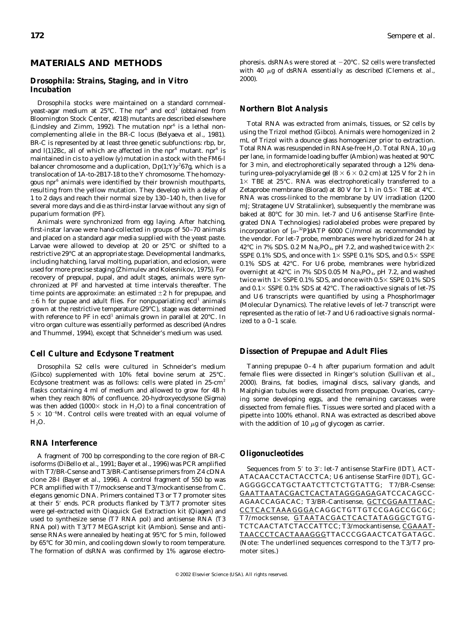# **MATERIALS AND METHODS**

## *Drosophila: Strains, Staging, and in Vitro Incubation*

*Drosophila* stocks were maintained on a standard cornmealyeast-agar medium at  $25^{\circ}$ C. The *npr<sup>6</sup>* and *ecd<sup>1</sup>* (obtained from Bloomington Stock Center, #218) mutants are described elsewhere (Lindsley and Zimm, 1992). The mutation  $npr^6$  is a lethal noncomplementing allele in the *BR-C* locus (Belyaeva *et al.,* 1981). *BR-C* is represented by at least three genetic subfunctions: *rbp, br,* and  $I(1)2Bc$ , all of which are affected in the *npr<sup>6</sup>* mutant. *npr<sup>6</sup>* is maintained in *cis* to a *yellow* (*y*) mutation in a stock with the *FM6-l* balancer chromosome and a duplication,  $Dp(1;Y)y^267g$ , which is a translocation of 1A-to-2B17-18 to the Y chromosome. The homozygous *npr6* animals were identified by their brownish mouthparts, resulting from the *yellow* mutation. They develop with a delay of 1 to 2 days and reach their normal size by 130–140 h, then live for several more days and die as third-instar larvae without any sign of puparium formation (PF).

Animals were synchronized from egg laying. After hatching, first-instar larvae were hand-collected in groups of 50–70 animals and placed on a standard agar media supplied with the yeast paste. Larvae were allowed to develop at 20 or 25°C or shifted to a restrictive 29°C at an appropriate stage. Developmental landmarks, including hatching, larval molting, pupariation, and eclosion, were used for more precise staging (Zhimulev and Kolesnikov, 1975). For recovery of prepupal, pupal, and adult stages, animals were synchronized at PF and harvested at time intervals thereafter. The time points are approximate: an estimated  $\pm 2$  h for prepupae, and  $\pm 6$  h for pupae and adult flies. For nonpupariating  $ecd<sup>1</sup>$  animals grown at the restrictive temperature (29°C), stage was determined with reference to PF in *ecd<sup>1</sup>* animals grown in parallel at 20°C. In *vitro* organ culture was essentially performed as described (Andres and Thummel, 1994), except that Schneider's medium was used.

#### *Cell Culture and Ecdysone Treatment*

*Drosophila* S2 cells were cultured in Schneider's medium (Gibco) supplemented with 10% fetal bovine serum at 25°C. Ecdysone treatment was as follows: cells were plated in  $25 \text{ cm}^2$ flasks containing 4 ml of medium and allowed to grow for 48 h when they reach 80% of confluence. 20-hydroxyecdysone (Sigma) was then added (1000 $\times$  stock in H<sub>2</sub>O) to a final concentration of  $5 \times 10^{-6}$ M. Control cells were treated with an equal volume of H<sub>2</sub>O.

## *RNA Interference*

A fragment of 700 bp corresponding to the core region of *BR-C* isoforms (DiBello *et al.,* 1991; Bayer *et al.,* 1996) was PCR amplified with T7/*BR-C*sense and T3/*BR-C*antisense primers from Z4 cDNA clone 28-I (Bayer *et al.,* 1996). A control fragment of 550 bp was PCR amplified with T7/mocksense and T3/mockantisense from *C. elegans* genomic DNA. Primers contained T3 or T7 promoter sites at their 5' ends. PCR products flanked by T3/T7 promoter sites were gel-extracted with Qiaquick Gel Extraction kit (Qiagen) and used to synthesize sense (T7 RNA pol) and antisense RNA (T3 RNA pol) with T3/T7 MEGAscript kit (Ambion). Sense and antisense RNAs were annealed by heating at 95°C for 5 min, followed by 65°C for 30 min, and cooling down slowly to room temperature. The formation of dsRNA was confirmed by 1% agarose electro-

phoresis. dsRNAs were stored at  $-20^{\circ}$ C. S2 cells were transfected with 40 μg of dsRNA essentially as described (Clemens *et al.,* 2000).

#### *Northern Blot Analysis*

Total RNA was extracted from animals, tissues, or S2 cells by using the Trizol method (Gibco). Animals were homogenized in 2 mL of Trizol with a dounce glass homogenizer prior to extraction. Total RNA was resuspended in RNAse-free  $H_2O$ . Total RNA, 10  $\mu$ g per lane, in formamide loading buffer (Ambion) was heated at 90°C for 3 min, and electrophoretically separated through a 12% denaturing urea-polyacrylamide gel ( $8 \times 6 \times 0.2$  cm) at 125 V for 2 h in  $1\times$  TBE at 25°C. RNA was electrophoretically transferred to a Zetaprobe membrane (Biorad) at 80 V for 1 h in  $0.5 \times$  TBE at 4°C. RNA was cross-linked to the membrane by UV irradiation (1200 mJ; Stratagene UV Stratalinker), subsequently the membrane was baked at 80°C for 30 min. *let-7* and *U6* antisense StarFire (Integrated DNA Technologies) radiolabeled probes were prepared by incorporation of  $[\alpha^{-32}P]$ dATP 6000 Ci/mmol as recommended by the vendor. For *let-7* probe, membranes were hybridized for 24 h at 42°C in 7% SDS. 0.2 M Na<sub>2</sub>PO<sub>4</sub>, pH 7.2, and washed twice with  $2 \times$ SSPE 0.1% SDS, and once with  $1\times$  SSPE 0.1% SDS, and  $0.5\times$  SSPE 0.1% SDS at 42°C. For *U6* probe, membranes were hybridized overnight at  $42^{\circ}$ C in 7% SDS 0.05 M Na<sub>2</sub>PO<sub>4</sub>, pH 7.2, and washed twice with  $1 \times$  SSPE 0.1% SDS, and once with  $0.5 \times$  SSPE 0.1% SDS and  $0.1 \times$  SSPE 0.1% SDS at 42°C. The radioactive signals of *let-7S* and *U6* transcripts were quantified by using a PhosphorImager (Molecular Dynamics). The relative levels of *let-7* transcript were represented as the ratio of *let-7* and *U6* radioactive signals normalized to a 0–1 scale.

#### *Dissection of Prepupae and Adult Flies*

Tanning prepupae 0–4 h after puparium formation and adult female flies were dissected in Ringer's solution (Sullivan *et al.,* 2000). Brains, fat bodies, imaginal discs, salivary glands, and Malphigian tubules were dissected from prepupae. Ovaries, carrying some developing eggs, and the remaining carcasses were dissected from female flies. Tissues were sorted and placed with a pipette into 100% ethanol. RNA was extracted as described above with the addition of 10  $\mu$ g of glycogen as carrier.

#### *Oligonucleotides*

Sequences from 5' to 3': let-7 antisense StarFire (IDT), ACT-ATACAACCTACTACCTCA; *U6* antisense StarFire (IDT), GC-AGGGGCCATGCTAATCTTCTCTGTATTG; T7/*BR-C*sense: GAATTAATACGACTCACTATAGGGAGAGATCCACAGCC-AGAACCAGACAC; T3/*BR-C*antisense, GCTCGGAATTAAC-CCTCACTAAAGGGACAGGCTGTTGTCCGAGCCGCGC; T7/mocksense, GTAATACGACTCACTATAGGGCTGTG-TCTCAACTATCTACCATTCC; T3/mockantisense, CGAAAT-TAACCCTCACTAAAGGGTTACCCGGAACTCATGATAGC. (Note: The underlined sequences correspond to the T3/T7 promoter sites.)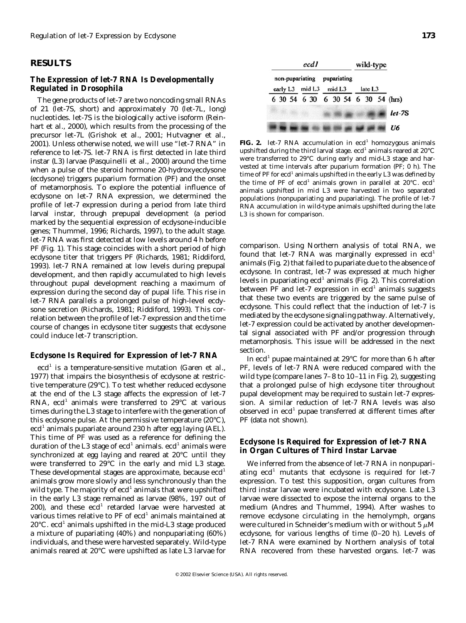## **RESULTS**

#### *The Expression of let-7 RNA Is Developmentally Regulated in Drosophila*

The gene products of *let-7* are two noncoding small RNAs of 21 (*let-7*S, short) and approximately 70 (*let-7*L, long) nucleotides. *let-7*S is the biologically active isoform (Reinhart *et al.,* 2000), which results from the processing of the precursor *let-7*L (Grishok *et al.,* 2001; Hutvagner *et al.,* 2001). Unless otherwise noted, we will use "*let-7* RNA" in reference to *let-7*S. *let-7* RNA is first detected in late third instar (L3) larvae (Pasquinelli *et al.,* 2000) around the time when a pulse of the steroid hormone 20-hydroxyecdysone (ecdysone) triggers puparium formation (PF) and the onset of metamorphosis. To explore the potential influence of ecdysone on *let-7* RNA expression, we determined the profile of *let-7* expression during a period from late third larval instar, through prepupal development (a period marked by the sequential expression of ecdysone-inducible genes; Thummel, 1996; Richards, 1997), to the adult stage. *let-7* RNA was first detected at low levels around 4 h before PF (Fig. 1). This stage coincides with a short period of high ecdysone titer that triggers PF (Richards, 1981; Riddiford, 1993). *let-7* RNA remained at low levels during prepupal development, and then rapidly accumulated to high levels throughout pupal development reaching a maximum of expression during the second day of pupal life. This rise in *let-7* RNA parallels a prolonged pulse of high-level ecdysone secretion (Richards, 1981; Riddiford, 1993). This correlation between the profile of *let-7* expression and the time course of changes in ecdysone titer suggests that ecdysone could induce *let-7* transcription.

#### *Ecdysone Is Required for Expression of let-7 RNA*

*ecd<sup>1</sup>* is a temperature-sensitive mutation (Garen *et al.,* 1977) that impairs the biosynthesis of ecdysone at restrictive temperature (29°C). To test whether reduced ecdysone at the end of the L3 stage affects the expression of *let-7* RNA, *ecd<sup>1</sup>* animals were transferred to 29°C at various times during the L3 stage to interfere with the generation of this ecdysone pulse. At the permissive temperature (20°C), *ecd<sup>1</sup>* animals pupariate around 230 h after egg laying (AEL). This time of PF was used as a reference for defining the duration of the L3 stage of *ecd<sup>1</sup>* animals. *ecd<sup>1</sup>* animals were synchronized at egg laying and reared at 20°C until they were transferred to 29°C in the early and mid L3 stage. These developmental stages are approximate, because *ecd<sup>1</sup>* animals grow more slowly and less synchronously than the wild type. The majority of *ecd<sup>1</sup>* animals that were upshifted in the early L3 stage remained as larvae (98%, 197 out of 200), and these *ecd<sup>1</sup>* retarded larvae were harvested at various times relative to PF of *ecd<sup>1</sup>* animals maintained at 20°C. *ecd<sup>1</sup>* animals upshifted in the mid-L3 stage produced a mixture of pupariating (40%) and nonpupariating (60%) individuals, and these were harvested separately. Wild-type animals reared at 20°C were upshifted as late L3 larvae for



**FIG. 2.** *let-7* RNA accumulation in  $ecd<sup>1</sup>$  homozygous animals upshifted during the third larval stage.  $ecd<sup>1</sup>$  animals reared at 20 $°C$ were transferred to 29°C during early and mid-L3 stage and harvested at time intervals after puparium formation (PF; 0 h). The time of PF for  $ecd<sup>1</sup>$  animals upshifted in the early L3 was defined by the time of PF of  $ecd<sup>1</sup>$  animals grown in parallel at  $20^{\circ}C$ .  $ecd<sup>1</sup>$ animals upshifted in mid L3 were harvested in two separated populations (nonpupariating and pupariating). The profile of *let-7* RNA accumulation in wild-type animals upshifted during the late L3 is shown for comparison.

comparison. Using Northern analysis of total RNA, we found that *let-7* RNA was marginally expressed in *ecd<sup>1</sup>* animals (Fig. 2) that failed to pupariate due to the absence of ecdysone. In contrast, *let-7* was expressed at much higher levels in pupariating *ecd<sup>1</sup>* animals (Fig. 2). This correlation between PF and *let-7* expression in *ecd<sup>1</sup>* animals suggests that these two events are triggered by the same pulse of ecdysone. This could reflect that the induction of *let-7* is mediated by the ecdysone signaling pathway. Alternatively, *let-7* expression could be activated by another developmental signal associated with PF and/or progression through metamorphosis. This issue will be addressed in the next section.

In *ecd<sup>1</sup>* pupae maintained at 29°C for more than 6 h after PF, levels of *let-7* RNA were reduced compared with the wild type (compare lanes 7–8 to 10–11 in Fig. 2), suggesting that a prolonged pulse of high ecdysone titer throughout pupal development may be required to sustain *let-7* expression. A similar reduction of *let-7* RNA levels was also observed in *ecd<sup>1</sup>* pupae transferred at different times after PF (data not shown).

## *Ecdysone Is Required for Expression of let-7 RNA in Organ Cultures of Third Instar Larvae*

We inferred from the absence of *let-7* RNA in nonpupariating *ecd<sup>1</sup>* mutants that ecdysone is required for *let-7* expression. To test this supposition, organ cultures from third instar larvae were incubated with ecdysone. Late L3 larvae were dissected to expose the internal organs to the medium (Andres and Thummel, 1994). After washes to remove ecdysone circulating in the hemolymph, organs were cultured in Schneider's medium with or without 5  $\mu$ M ecdysone, for various lengths of time (0–20 h). Levels of *let-7* RNA were examined by Northern analysis of total RNA recovered from these harvested organs. *let-7* was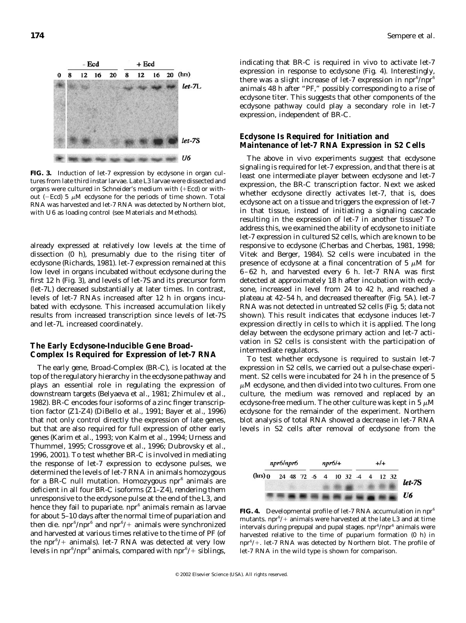

**FIG. 3.** Induction of *let-7* expression by ecdysone in organ cultures from late third instar larvae. Late L3 larvae were dissected and organs were cultured in Schneider's medium with (+Ecd) or without (-Ecd) 5  $\mu$ M ecdysone for the periods of time shown. Total RNA was harvested and *let-7* RNA was detected by Northern blot, with *U6* as loading control (see Materials and Methods).

already expressed at relatively low levels at the time of dissection (0 h), presumably due to the rising titer of ecdysone (Richards, 1981). *let-7* expression remained at this low level in organs incubated without ecdysone during the first 12 h (Fig. 3), and levels of *let-7*S and its precursor form (*let-7*L) decreased substantially at later times. In contrast, levels of *let-7* RNAs increased after 12 h in organs incubated with ecdysone. This increased accumulation likely results from increased transcription since levels of *let-7*S and *let-7*L increased coordinately.

## *The Early Ecdysone-Inducible Gene Broad-Complex Is Required for Expression of let-7 RNA*

The early gene, *Broad-Complex* (*BR-C*), is located at the top of the regulatory hierarchy in the ecdysone pathway and plays an essential role in regulating the expression of downstream targets (Belyaeva *et al.,* 1981; Zhimulev *et al.,* 1982). *BR-C* encodes four isoforms of a zinc finger transcription factor (Z1-Z4) (DiBello *et al.,* 1991; Bayer *et al.,* 1996) that not only control directly the expression of late genes, but that are also required for full expression of other early genes (Karim *et al.,* 1993; von Kalm *et al.,* 1994; Urness and Thummel, 1995; Crossgrove *et al.,* 1996; Dubrovsky *et al.,* 1996, 2001). To test whether *BR-C* is involved in mediating the response of *let-7* expression to ecdysone pulses, we determined the levels of *let-7* RNA in animals homozygous for a *BR-C* null mutation. Homozygous *npr6* animals are deficient in all four *BR-C* isoforms (Z1–Z4), rendering them unresponsive to the ecdysone pulse at the end of the L3, and hence they fail to pupariate. *npr<sup>6</sup>* animals remain as larvae for about 5–10 days after the normal time of pupariation and then die. *npr<sup>6</sup> /npr<sup>6</sup>* and *npr<sup>6</sup>* / animals were synchronized and harvested at various times relative to the time of PF (of the *npr<sup>6</sup>*/+ animals). *let-7* RNA was detected at very low levels in  $npr^6/npr^6$  animals, compared with  $npr^6/$ + siblings,

indicating that *BR-C* is required *in vivo* to activate *let-7* expression in response to ecdysone (Fig. 4). Interestingly, there was a slight increase of *let-7* expression in  $npr^6/npr^6$ animals 48 h after "PF," possibly corresponding to a rise of ecdysone titer. This suggests that other components of the ecdysone pathway could play a secondary role in *let-7* expression, independent of *BR-C*.

#### *Ecdysone Is Required for Initiation and Maintenance of let-7 RNA Expression in S2 Cells*

The above *in vivo* experiments suggest that ecdysone signaling is required for *let-7* expression, and that there is at least one intermediate player between ecdysone and *let-7* expression, the *BR-C* transcription factor. Next we asked whether ecdysone directly activates *let-7,* that is, does ecdysone act on a tissue and triggers the expression of *let-7* in that tissue, instead of initiating a signaling cascade resulting in the expression of *let-7* in another tissue? To address this, we examined the ability of ecdysone to initiate *let-7* expression in cultured S2 cells, which are known to be responsive to ecdysone (Cherbas and Cherbas, 1981, 1998; Vitek and Berger, 1984). S2 cells were incubated in the presence of ecdysone at a final concentration of 5  $\mu$ M for 6–62 h, and harvested every 6 h. *let-7* RNA was first detected at approximately 18 h after incubation with ecdysone, increased in level from 24 to 42 h, and reached a plateau at 42–54 h, and decreased thereafter (Fig. 5A). *let-7* RNA was not detected in untreated S2 cells (Fig. 5; data not shown). This result indicates that ecdysone induces *let-7* expression directly in cells to which it is applied. The long delay between the ecdysone primary action and *let-7* activation in S2 cells is consistent with the participation of intermediate regulators.

To test whether ecdysone is required to sustain *let-7* expression in S2 cells, we carried out a pulse-chase experiment. S2 cells were incubated for 24 h in the presence of 5  $\mu$ M ecdysone, and then divided into two cultures. From one culture, the medium was removed and replaced by an ecdysone-free medium. The other culture was kept in 5  $\mu$ M ecdysone for the remainder of the experiment. Northern blot analysis of total RNA showed a decrease in *let-7* RNA levels in S2 cells after removal of ecdysone from the



**FIG. 4.** Developmental profile of *let-7* RNA accumulation in *npr6* mutants.  $npr^6$ /+ animals were harvested at the late L3 and at time intervals during prepupal and pupal stages. *npr<sup>6</sup>/npr<sup>6</sup>* animals were harvested relative to the time of puparium formation (0 h) in *npr<sup>6</sup>*/+. *let-7* RNA was detected by Northern blot. The profile of *let-7* RNA in the wild type is shown for comparison.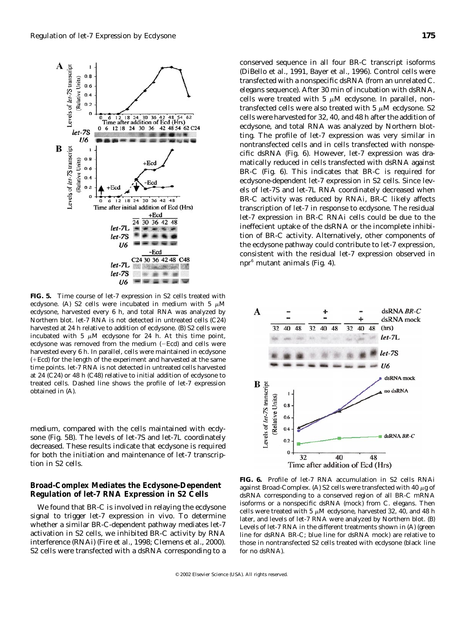

**FIG. 5.** Time course of *let-7* expression in S2 cells treated with ecdysone. (A) S2 cells were incubated in medium with 5  $\mu$ M ecdysone, harvested every 6 h, and total RNA was analyzed by Northern blot. *let-7* RNA is not detected in untreated cells (C24) harvested at 24 h relative to addition of ecdysone. (B) S2 cells were incubated with 5  $\mu$ M ecdysone for 24 h. At this time point, ecdysone was removed from the medium  $(-Ecd)$  and cells were harvested every 6 h. In parallel, cells were maintained in ecdysone  $(+Ed)$  for the length of the experiment and harvested at the same time points. *let-7* RNA is not detected in untreated cells harvested at 24 (C24) or 48 h (C48) relative to initial addition of ecdysone to treated cells. Dashed line shows the profile of *let-7* expression obtained in (A).

medium, compared with the cells maintained with ecdysone (Fig. 5B). The levels of *let-7*S and *let-7*L coordinately decreased. These results indicate that ecdysone is required for both the initiation and maintenance of *let-7* transcription in S2 cells.

## *Broad-Complex Mediates the Ecdysone-Dependent Regulation of let-7 RNA Expression in S2 Cells*

We found that *BR-C* is involved in relaying the ecdysone signal to trigger *let-7* expression *in vivo*. To determine whether a similar *BR-C*-dependent pathway mediates *let-7* activation in S2 cells, we inhibited *BR-C* activity by RNA interference (RNAi) (Fire *et al.,* 1998; Clemens *et al.,* 2000). S2 cells were transfected with a dsRNA corresponding to a

conserved sequence in all four *BR-C* transcript isoforms (DiBello *et al.,* 1991, Bayer *et al.,* 1996). Control cells were transfected with a nonspecific dsRNA (from an unrelated *C. elegans* sequence). After 30 min of incubation with dsRNA, cells were treated with 5  $\mu$ M ecdysone. In parallel, nontransfected cells were also treated with 5  $\mu$ M ecdysone. S2 cells were harvested for 32, 40, and 48 h after the addition of ecdysone, and total RNA was analyzed by Northern blotting. The profile of *let-7* expression was very similar in nontransfected cells and in cells transfected with nonspecific dsRNA (Fig. 6). However, *let-7* expression was dramatically reduced in cells transfected with dsRNA against *BR-C* (Fig. 6). This indicates that *BR-C* is required for ecdysone-dependent *let-7* expression in S2 cells. Since levels of *let-7*S and *let-7*L RNA coordinately decreased when *BR-C* activity was reduced by RNAi, *BR-C* likely affects transcription of *let-7* in response to ecdysone. The residual *let-7* expression in *BR*-C RNAi cells could be due to the ineffecient uptake of the dsRNA or the incomplete inhibition of *BR-C* activity. Alternatively, other components of the ecdysone pathway could contribute to *let-7* expression, consistent with the residual *let-7* expression observed in *npr<sup>6</sup>* mutant animals (Fig. 4).



**FIG. 6.** Profile of *let-7* RNA accumulation in S2 cells RNAi against *Broad-Complex*. (A) S2 cells were transfected with 40  $\mu$ g of dsRNA corresponding to a conserved region of all *BR-C* mRNA isoforms or a nonspecific dsRNA (mock) from *C. elegans*. Then cells were treated with 5  $\mu{\rm M}$  ecdysone, harvested 32, 40, and 48 h later, and levels of *let-7* RNA were analyzed by Northern blot. (B) Levels of *let-7* RNA in the different treatments shown in (A) (green line for dsRNA *BR-C*; blue line for dsRNA mock) are relative to those in nontransfected S2 cells treated with ecdysone (black line for no dsRNA).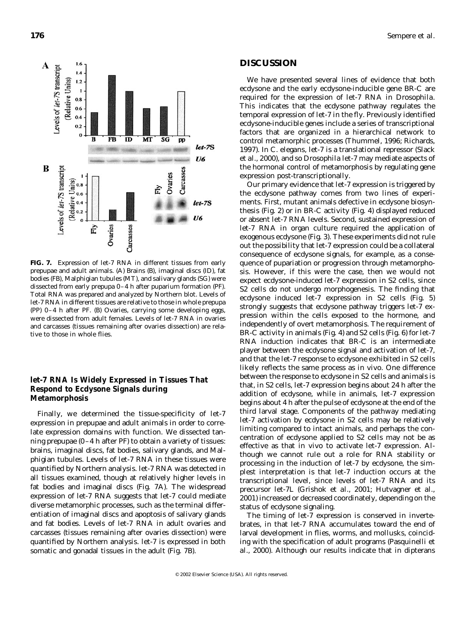

**FIG. 7.** Expression of *let-7* RNA in different tissues from early prepupae and adult animals. (A) Brains (B), imaginal discs (ID), fat bodies (FB), Malphigian tubules (MT), and salivary glands (SG) were dissected from early prepupa 0–4 h after puparium formation (PF). Total RNA was prepared and analyzed by Northern blot. Levels of *let-7* RNA in different tissues are relative to those in whole prepupa (PP) 0–4 h after PF. (B) Ovaries, carrying some developing eggs, were dissected from adult females. Levels of *let-7* RNA in ovaries and carcasses (tissues remaining after ovaries dissection) are relative to those in whole flies.

## *let-7 RNA Is Widely Expressed in Tissues That Respond to Ecdysone Signals during Metamorphosis*

Finally, we determined the tissue-specificity of *let-7* expression in prepupae and adult animals in order to correlate expression domains with function. We dissected tanning prepupae (0–4 h after PF) to obtain a variety of tissues: brains, imaginal discs, fat bodies, salivary glands, and Malphigian tubules. Levels of *let-7* RNA in these tissues were quantified by Northern analysis. *let-7* RNA was detected in all tissues examined, though at relatively higher levels in fat bodies and imaginal discs (Fig. 7A). The widespread expression of *let-7* RNA suggests that *let-7* could mediate diverse metamorphic processes, such as the terminal differentiation of imaginal discs and apoptosis of salivary glands and fat bodies. Levels of *let-7* RNA in adult ovaries and carcasses (tissues remaining after ovaries dissection) were quantified by Northern analysis. *let-7* is expressed in both somatic and gonadal tissues in the adult (Fig. 7B).

# **DISCUSSION**

We have presented several lines of evidence that both ecdysone and the early ecdysone-inducible gene *BR-C* are required for the expression of *let-7* RNA in *Drosophila*. This indicates that the ecdysone pathway regulates the temporal expression of *let-7* in the fly. Previously identified ecdysone-inducible genes include a series of transcriptional factors that are organized in a hierarchical network to control metamorphic processes (Thummel, 1996; Richards, 1997). In *C. elegans, let-7* is a translational repressor (Slack *et al.,* 2000), and so *Drosophila let-7* may mediate aspects of the hormonal control of metamorphosis by regulating gene expression post-transcriptionally.

Our primary evidence that *let-7* expression is triggered by the ecdysone pathway comes from two lines of experiments. First, mutant animals defective in ecdysone biosynthesis (Fig. 2) or in *BR-C* activity (Fig. 4) displayed reduced or absent *let-7* RNA levels. Second, sustained expression of *let-7* RNA in organ culture required the application of exogenous ecdysone (Fig. 3). These experiments did not rule out the possibility that *let-7* expression could be a collateral consequence of ecdysone signals, for example, as a consequence of pupariation or progression through metamorphosis. However, if this were the case, then we would not expect ecdysone-induced *let-7* expression in S2 cells, since S2 cells do not undergo morphogenesis. The finding that ecdysone induced *let-7* expression in S2 cells (Fig. 5) strongly suggests that ecdysone pathway triggers *let-7* expression within the cells exposed to the hormone, and independently of overt metamorphosis. The requirement of *BR-C* activity in animals (Fig. 4) and S2 cells (Fig. 6) for *let-7* RNA induction indicates that *BR-C* is an intermediate player between the ecdysone signal and activation of *let-7,* and that the *let-7* response to ecdysone exhibited in S2 cells likely reflects the same process as *in vivo*. One difference between the response to ecdysone in S2 cells and animals is that, in S2 cells, *let-7* expression begins about 24 h after the addition of ecdysone, while in animals, *let-7* expression begins about 4 h after the pulse of ecdysone at the end of the third larval stage. Components of the pathway mediating *let-7* activation by ecdysone in S2 cells may be relatively limiting compared to intact animals, and perhaps the concentration of ecdysone applied to S2 cells may not be as effective as that *in vivo* to activate *let-7* expression. Although we cannot rule out a role for RNA stability or processing in the induction of *let-7* by ecdysone, the simplest interpretation is that *let-7* induction occurs at the transcriptional level, since levels of *let-7* RNA and its precursor *let-7*L (Grishok *et al.,* 2001; Hutvagner *et al.,* 2001) increased or decreased coordinately, depending on the status of ecdysone signaling.

The timing of *let-7* expression is conserved in invertebrates, in that *let-7* RNA accumulates toward the end of larval development in flies, worms, and mollusks, coinciding with the specification of adult programs (Pasquinelli *et al.,* 2000). Although our results indicate that in dipterans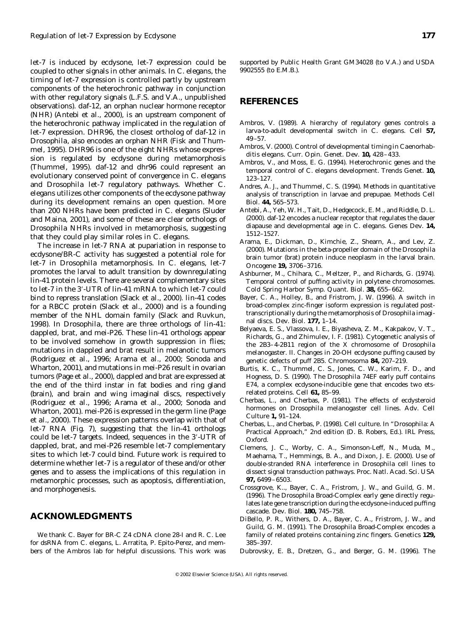*let-7* is induced by ecdysone, *let-7* expression could be coupled to other signals in other animals. In *C. elegans,* the timing of *let-7* expression is controlled partly by upstream components of the heterochronic pathway in conjunction with other regulatory signals (L.F.S. and V.A., unpublished observations). *daf-12,* an orphan nuclear hormone receptor (NHR) (Antebi *et al.,* 2000), is an upstream component of the heterochronic pathway implicated in the regulation of *let-7* expression. *DHR96,* the closest ortholog of *daf-12* in *Drosophila,* also encodes an orphan NHR (Fisk and Thummel, 1995). *DHR96* is one of the eight NHRs whose expression is regulated by ecdysone during metamorphosis (Thummel, 1995). *daf-12* and *dhr96* could represent an evolutionary conserved point of convergence in *C. elegans* and *Drosophila let-7* regulatory pathways. Whether *C. elegans* utilizes other components of the ecdysone pathway during its development remains an open question. More than 200 NHRs have been predicted in *C. elegans* (Sluder and Maina, 2001), and some of these are clear orthologs of *Drosophila* NHRs involved in metamorphosis, suggesting that they could play similar roles in *C. elegans*.

The increase in *let-7* RNA at pupariation in response to ecdysone/*BR-C* activity has suggested a potential role for *let-7* in *Drosophila* metamorphosis. In *C. elegans, let-7* promotes the larval to adult transition by downregulating *lin-41* protein levels. There are several complementary sites to *let-7* in the 3-UTR of *lin-41* mRNA to which *let-7* could bind to repress translation (Slack *et al.,* 2000). *lin-41* codes for a RBCC protein (Slack *et al.,* 2000) and is a founding member of the NHL domain family (Slack and Ruvkun, 1998). In *Drosophila,* there are three orthologs of *lin-41: dappled, brat,* and *mei-P26*. These *lin-41* orthologs appear to be involved somehow in growth suppression in flies; mutations in *dappled* and *brat* result in melanotic tumors (Rodriguez *et al.,* 1996; Arama *et al.,* 2000; Sonoda and Wharton, 2001), and mutations in *mei-P26* result in ovarian tumors (Page *et al.,* 2000), *dappled* and *brat* are expressed at the end of the third instar in fat bodies and ring gland (brain), and brain and wing imaginal discs, respectively (Rodriguez *et al.,* 1996; Arama *et al.,* 2000; Sonoda and Wharton, 2001). *mei-P26* is expressed in the germ line (Page *et al.,* 2000). These expression patterns overlap with that of *let-7* RNA (Fig. 7), suggesting that the *lin-41* orthologs could be *let-7* targets. Indeed, sequences in the 3-UTR of *dappled, brat,* and *mei-P26* resemble *let-7* complementary sites to which *let-7* could bind. Future work is required to determine whether *let-7* is a regulator of these and/or other genes and to assess the implications of this regulation in metamorphic processes, such as apoptosis, differentiation, and morphogenesis.

## **ACKNOWLEDGMENTS**

We thank C. Bayer for *BR-C* Z4 cDNA clone 28-I and R. C. Lee for dsRNA from *C. elegans,* L. Arratita, P. Epito-Perez, and members of the Ambros lab for helpful discussions. This work was

supported by Public Health Grant GM34028 (to V.A.) and USDA 9902555 (to E.M.B.).

## **REFERENCES**

- Ambros, V. (1989). A hierarchy of regulatory genes controls a larva-to-adult developmental switch in *C. elegans. Cell* **57,** 49–57.
- Ambros, V. (2000). Control of developmental timing in *Caenorhabditis elegans. Curr. Opin. Genet. Dev.* **10,** 428–433.
- Ambros, V., and Moss, E. G. (1994). Heterochronic genes and the temporal control of *C. elegans* development. *Trends Genet.* **10,** 123–127.
- Andres, A. J., and Thummel, C. S. (1994). Methods in quantitative analysis of transcription in larvae and prepupae. *Methods Cell Biol.* **44,** 565–573.
- Antebi, A., Yeh, W. H., Tait, D., Hedgecock, E. M., and Riddle, D. L. (2000). daf-12 encodes a nuclear receptor that regulates the dauer diapause and developmental age in *C. elegans. Genes Dev.* **14,** 1512–1527.
- Arama, E., Dickman, D., Kimchie, Z., Shearn, A., and Lev, Z. (2000). Mutations in the beta-propeller domain of the Drosophila brain tumor (brat) protein induce neoplasm in the larval brain. *Oncogene* **19,** 3706–3716.
- Ashburner, M., Chihara, C., Meltzer, P., and Richards, G. (1974). Temporal control of puffing activity in polytene chromosomes. *Cold Spring Harbor Symp. Quant. Biol.* **38,** 655–662.
- Bayer, C. A., Holley, B., and Fristrom, J. W. (1996). A switch in broad-complex zinc-finger isoform expression is regulated posttranscriptionally during the metamorphosis of Drosophila imaginal discs. *Dev. Biol.* **177,** 1–14.
- Belyaeva, E. S., Vlassova, I. E., Biyasheva, Z. M., Kakpakov, V. T., Richards, G., and Zhimulev, I. F. (1981). Cytogenetic analysis of the 2B3–4-2B11 region of the X chromosome of Drosophila melanogaster. II. Changes in 20-OH ecdysone puffing caused by genetic defects of puff 2B5. *Chromosoma* **84,** 207–219.
- Burtis, K. C., Thummel, C. S., Jones, C. W., Karim, F. D., and Hogness, D. S. (1990). The *Drosophila* 74EF early puff contains *E74,* a complex ecdysone-inducible gene that encodes two *ets*related proteins. *Cell* **61,** 85–99.
- Cherbas, L., and Cherbas, P. (1981). The effects of ecdysteroid hormones on *Drosophila melanogaster* cell lines. *Adv. Cell Culture* **1,** 91–124.
- Cherbas, L., and Cherbas, P. (1998). Cell culture. In "Drosophila: A Practical Approach," 2nd edition (D. B. Robers, Ed.). IRL Press, Oxford.
- Clemens, J. C., Worby, C. A., Simonson-Leff, N., Muda, M., Maehama, T., Hemmings, B. A., and Dixon, J. E. (2000). Use of double-stranded RNA interference in Drosophila cell lines to dissect signal transduction pathways. *Proc. Natl. Acad. Sci. USA* **97,** 6499–6503.
- Crossgrove, K.., Bayer, C. A., Fristrom, J. W., and Guild, G. M. (1996). The Drosophila Broad-Complex early gene directly regulates late gene transcription during the ecdysone-induced puffing cascade. *Dev. Biol.* **180,** 745–758.
- DiBello, P. R., Withers, D. A., Bayer, C. A., Fristrom, J. W., and Guild, G. M. (1991). The Drosophila Broad-Complex encodes a family of related proteins containing zinc fingers. *Genetics* **129,** 385–397.
- Dubrovsky, E. B., Dretzen, G., and Berger, G. M. (1996). The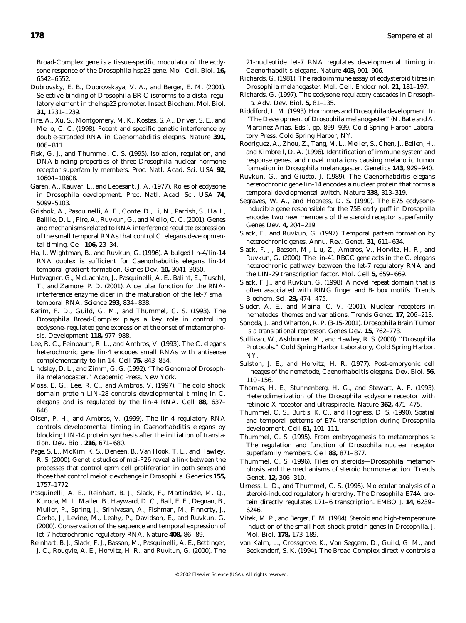*Broad-Complex* gene is a tissue-specific modulator of the ecdysone response of the *Drosophila hsp23* gene. *Mol. Cell. Biol.* **16,** 6542–6552.

- Dubrovsky, E. B., Dubrovskaya, V. A., and Berger, E. M. (2001). Selective binding of *Drosophila* BR-C isoforms to a distal regulatory element in the *hsp23* promoter. *Insect Biochem. Mol. Biol.* **31,** 1231–1239.
- Fire, A., Xu, S., Montgomery, M. K., Kostas, S. A., Driver, S. E., and Mello, C. C. (1998). Potent and specific genetic interference by double-stranded RNA in *Caenorhabditis elegans*. *Nature* **391,** 806–811.
- Fisk, G. J., and Thummel, C. S. (1995). Isolation, regulation, and DNA-binding properties of three Drosophila nuclear hormone receptor superfamily members. *Proc. Natl. Acad. Sci. USA* **92,** 10604–10608.
- Garen, A., Kauvar, L., and Lepesant, J. A. (1977). Roles of ecdysone in *Drosophila* development. *Proc. Natl. Acad. Sci. USA* **74,** 5099–5103.
- Grishok, A., Pasquinelli, A. E., Conte, D., Li, N., Parrish, S., Ha, I., Baillie, D. L., Fire, A., Ruvkun, G., and Mello, C. C. (2001). Genes and mechanisms related to RNA interference regulate expression of the small temporal RNAs that control *C. elegans* developmental timing. *Cell* **106,** 23–34.
- Ha, I., Wightman, B., and Ruvkun, G. (1996). A bulged lin-4/lin-14 RNA duplex is sufficient for *Caenorhabditis elegans* lin-14 temporal gradient formation. *Genes Dev.* **10,** 3041–3050.
- Hutvagner, G., McLachlan, J., Pasquinelli, A. E., Balint, E., Tuschl, T., and Zamore, P. D. (2001). A cellular function for the RNAinterference enzyme dicer in the maturation of the let-7 small temporal RNA. *Science* **293,** 834–838.
- Karim, F. D., Guild, G. M., and Thummel, C. S. (1993). The Drosophila Broad-Complex plays a key role in controlling ecdysone- regulated gene expression at the onset of metamorphosis. *Development* **118,** 977–988.
- Lee, R. C., Feinbaum, R. L., and Ambros, V. (1993). The C. elegans heterochronic gene lin-4 encodes small RNAs with antisense complementarity to lin-14. *Cell* **75,** 843–854.
- Lindsley, D. L., and Zimm, G. G. (1992). "The Genome of *Drosophila melanogaster*." Academic Press, New York.
- Moss, E. G., Lee, R. C., and Ambros, V. (1997). The cold shock domain protein LIN-28 controls developmental timing in *C. elegans* and is regulated by the lin-4 RNA. *Cell* **88,** 637– 646.
- Olsen, P. H., and Ambros, V. (1999). The lin-4 regulatory RNA controls developmental timing in *Caenorhabditis elegans* by blocking LIN-14 protein synthesis after the initiation of translation. *Dev. Biol.* **216,** 671–680.
- Page, S. L., McKim, K. S., Deneen, B., Van Hook, T. L., and Hawley, R. S. (2000). Genetic studies of mei-P26 reveal a link between the processes that control germ cell proliferation in both sexes and those that control meiotic exchange in Drosophila. *Genetics* **155,** 1757–1772.
- Pasquinelli, A. E., Reinhart, B. J., Slack, F., Martindale, M. Q., Kuroda, M. I., Maller, B., Hayward, D. C., Ball, E. E., Degnan, B., Muller, P., Spring, J., Srinivasan, A., Fishman, M., Finnerty, J., Corbo, J., Levine, M., Leahy, P., Davidson, E., and Ruvkun, G. (2000). Conservation of the sequence and temporal expression of let-7 heterochronic regulatory RNA. *Nature* **408,** 86–89.
- Reinhart, B. J., Slack, F. J., Basson, M., Pasquinelli, A. E., Bettinger, J. C., Rougvie, A. E., Horvitz, H. R., and Ruvkun, G. (2000). The

21-nucleotide let-7 RNA regulates developmental timing in *Caenorhabditis elegans*. *Nature* **403,** 901–906.

- Richards, G. (1981). The radioimmune assay of ecdysteroid titres in Drosophila melanogaster. *Mol. Cell. Endocrinol.* **21,** 181–197.
- Richards, G. (1997). The ecdysone regulatory cascades in Drosophila. *Adv. Dev. Biol.* **5,** 81–135.
- Riddiford, L. M. (1993). Hormones and Drosophila development. In "The Development of *Drosophila melanogaster*" (N. Bate and A. Martinez-Arias, Eds.), pp. 899–939. Cold Spring Harbor Laboratory Press, Cold Spring Harbor, NY.
- Rodriguez, A., Zhou, Z., Tang, M. L., Meller, S., Chen, J., Bellen, H., and Kimbrell, D. A. (1996). Identification of immune system and response genes, and novel mutations causing melanotic tumor formation in *Drosophila melanogaster. Genetics* **143,** 929–940.
- Ruvkun, G., and Giusto, J. (1989). The *Caenorhabditis elegans* heterochronic gene lin-14 encodes a nuclear protein that forms a temporal developmental switch. *Nature* **338,** 313–319.
- Segraves, W. A., and Hogness, D. S. (1990). The *E75* ecdysoneinducible gene responsible for the 75B early puff in *Drosophila* encodes two new members of the steroid receptor superfamily. *Genes Dev.* **4,** 204–219.
- Slack, F., and Ruvkun, G. (1997). Temporal pattern formation by heterochronic genes. *Annu. Rev. Genet.* **31,** 611–634.
- Slack, F. J., Basson, M., Liu, Z., Ambros, V., Horvitz, H. R., and Ruvkun, G. (2000). The lin-41 RBCC gene acts in the C. elegans heterochronic pathway between the let-7 regulatory RNA and the LIN-29 transcription factor. *Mol. Cell* **5,** 659–669.
- Slack, F. J., and Ruvkun, G. (1998). A novel repeat domain that is often associated with RING finger and B- box motifs. *Trends Biochem. Sci.* **23,** 474–475.
- Sluder, A. E., and Maina, C. V. (2001). Nuclear receptors in nematodes: themes and variations. *Trends Genet.* **17,** 206–213.
- Sonoda, J., and Wharton, R. P. (3-15-2001). Drosophila Brain Tumor is a translational repressor. *Genes Dev.* **15,** 762–773.
- Sullivan, W., Ashburner, M., and Hawley, R. S. (2000). "Drosophila Protocols." Cold Spring Harbor Laboratory, Cold Spring Harbor, NY.
- Sulston, J. E., and Horvitz, H. R. (1977). Post-embryonic cell lineages of the nematode, *Caenorhabditis elegans. Dev. Biol.* **56,** 110–156.
- Thomas, H. E., Stunnenberg, H. G., and Stewart, A. F. (1993). Heterodimerization of the Drosophila ecdysone receptor with retinoid X receptor and ultraspiracle. *Nature* **362,** 471–475.
- Thummel, C. S., Burtis, K. C., and Hogness, D. S. (1990). Spatial and temporal patterns of *E74* transcription during *Drosophila* development. *Cell* **61,** 101–111.
- Thummel, C. S. (1995). From embryogenesis to metamorphosis: The regulation and function of Drosophila nuclear receptor superfamily members. *Cell* **83,** 871–877.
- Thummel, C. S. (1996). Files on steroids—*Drosophila* metamorphosis and the mechanisms of steroid hormone action. *Trends Genet.* **12,** 306–310.
- Urness, L. D., and Thummel, C. S. (1995). Molecular analysis of a steroid-induced regulatory hierarchy: The *Drosophila* E74A protein directly regulates *L71–6* transcription. *EMBO J.* **14,** 6239– 6246.
- Vitek, M. P., and Berger, E. M. (1984). Steroid and high-temperature induction of the small heat-shock protein genes in Drosophila. *J. Mol. Biol.* **178,** 173–189.
- von Kalm, L., Crossgrove, K., Von Seggern, D., Guild, G. M., and Beckendorf, S. K. (1994). The *Broad Complex* directly controls a